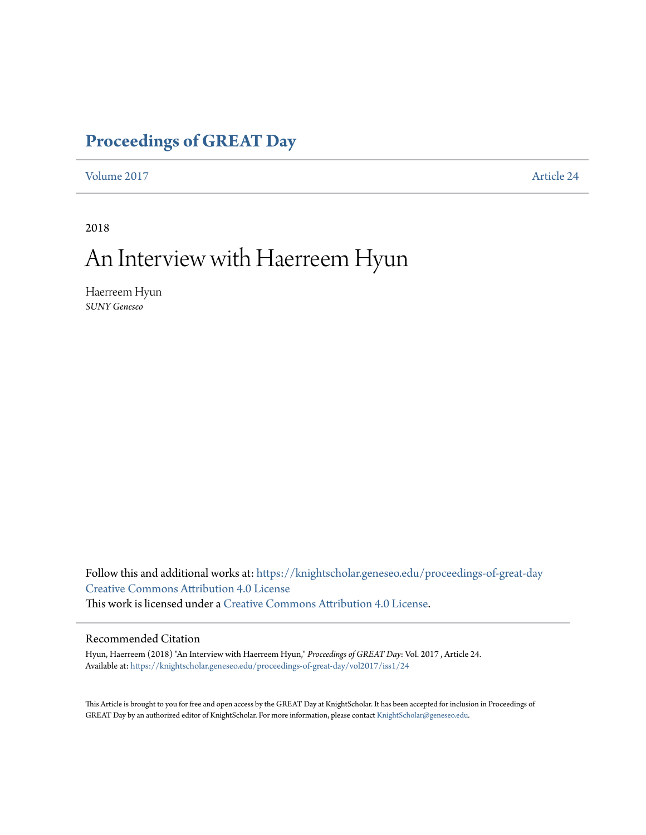### **[Proceedings of GREAT Day](https://knightscholar.geneseo.edu/proceedings-of-great-day?utm_source=knightscholar.geneseo.edu%2Fproceedings-of-great-day%2Fvol2017%2Fiss1%2F24&utm_medium=PDF&utm_campaign=PDFCoverPages)**

[Volume 2017](https://knightscholar.geneseo.edu/proceedings-of-great-day/vol2017?utm_source=knightscholar.geneseo.edu%2Fproceedings-of-great-day%2Fvol2017%2Fiss1%2F24&utm_medium=PDF&utm_campaign=PDFCoverPages) **[Article 24](https://knightscholar.geneseo.edu/proceedings-of-great-day/vol2017/iss1/24?utm_source=knightscholar.geneseo.edu%2Fproceedings-of-great-day%2Fvol2017%2Fiss1%2F24&utm_medium=PDF&utm_campaign=PDFCoverPages)** 

2018

## An Interview with Haerreem Hyun

Haerreem Hyun *SUNY Geneseo*

Follow this and additional works at: [https://knightscholar.geneseo.edu/proceedings-of-great-day](https://knightscholar.geneseo.edu/proceedings-of-great-day?utm_source=knightscholar.geneseo.edu%2Fproceedings-of-great-day%2Fvol2017%2Fiss1%2F24&utm_medium=PDF&utm_campaign=PDFCoverPages) [Creative Commons Attribution 4.0 License](http://creativecommons.org/licenses/by/4.0/) This work is licensed under a [Creative Commons Attribution 4.0 License.](http://creativecommons.org/licenses/by/4.0/)

#### Recommended Citation

Hyun, Haerreem (2018) "An Interview with Haerreem Hyun," *Proceedings of GREAT Day*: Vol. 2017 , Article 24. Available at: [https://knightscholar.geneseo.edu/proceedings-of-great-day/vol2017/iss1/24](https://knightscholar.geneseo.edu/proceedings-of-great-day/vol2017/iss1/24?utm_source=knightscholar.geneseo.edu%2Fproceedings-of-great-day%2Fvol2017%2Fiss1%2F24&utm_medium=PDF&utm_campaign=PDFCoverPages)

This Article is brought to you for free and open access by the GREAT Day at KnightScholar. It has been accepted for inclusion in Proceedings of GREAT Day by an authorized editor of KnightScholar. For more information, please contact [KnightScholar@geneseo.edu.](mailto:KnightScholar@geneseo.edu)